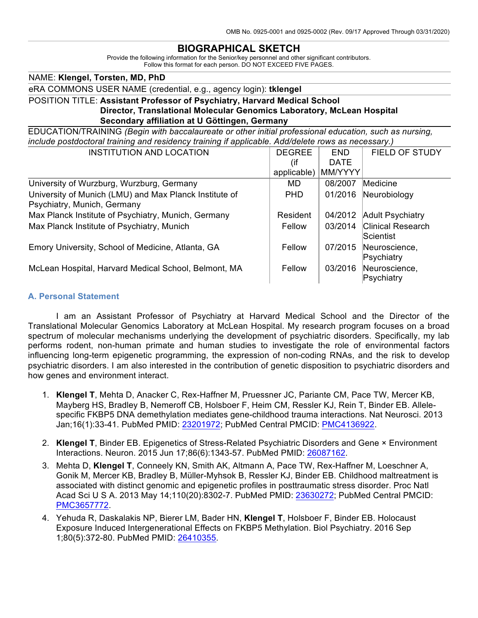#### **BIOGRAPHICAL SKETCH**

Provide the following information for the Senior/key personnel and other significant contributors. Follow this format for each person. DO NOT EXCEED FIVE PAGES.

NAME: **Klengel, Torsten, MD, PhD**

eRA COMMONS USER NAME (credential, e.g., agency login): **tklengel**

#### POSITION TITLE: **Assistant Professor of Psychiatry, Harvard Medical School Director, Translational Molecular Genomics Laboratory, McLean Hospital Secondary affiliation at U Göttingen, Germany**

EDUCATION/TRAINING *(Begin with baccalaureate or other initial professional education, such as nursing, include postdoctoral training and residency training if applicable. Add/delete rows as necessary.)*

| <b>INSTITUTION AND LOCATION</b>                                                       | <b>DEGREE</b> | <b>END</b>  | <b>FIELD OF STUDY</b>                 |
|---------------------------------------------------------------------------------------|---------------|-------------|---------------------------------------|
|                                                                                       | (if           | <b>DATE</b> |                                       |
|                                                                                       | applicable)   | MM/YYYY     |                                       |
| University of Wurzburg, Wurzburg, Germany                                             | MD.           | 08/2007     | Medicine                              |
| University of Munich (LMU) and Max Planck Institute of<br>Psychiatry, Munich, Germany | <b>PHD</b>    | 01/2016     | Neurobiology                          |
| Max Planck Institute of Psychiatry, Munich, Germany                                   | Resident      | 04/2012     | <b>Adult Psychiatry</b>               |
| Max Planck Institute of Psychiatry, Munich                                            | Fellow        | 03/2014     | <b>Clinical Research</b><br>Scientist |
| Emory University, School of Medicine, Atlanta, GA                                     | Fellow        | 07/2015     | Neuroscience,<br>Psychiatry           |
| McLean Hospital, Harvard Medical School, Belmont, MA                                  | Fellow        | 03/2016     | Neuroscience,<br>Psychiatry           |

#### **A. Personal Statement**

I am an Assistant Professor of Psychiatry at Harvard Medical School and the Director of the Translational Molecular Genomics Laboratory at McLean Hospital. My research program focuses on a broad spectrum of molecular mechanisms underlying the development of psychiatric disorders. Specifically, my lab performs rodent, non-human primate and human studies to investigate the role of environmental factors influencing long-term epigenetic programming, the expression of non-coding RNAs, and the risk to develop psychiatric disorders. I am also interested in the contribution of genetic disposition to psychiatric disorders and how genes and environment interact.

- 1. **Klengel T**, Mehta D, Anacker C, Rex-Haffner M, Pruessner JC, Pariante CM, Pace TW, Mercer KB, Mayberg HS, Bradley B, Nemeroff CB, Holsboer F, Heim CM, Ressler KJ, Rein T, Binder EB. Allelespecific FKBP5 DNA demethylation mediates gene-childhood trauma interactions. Nat Neurosci. 2013 Jan;16(1):33-41. PubMed PMID: 23201972; PubMed Central PMCID: PMC4136922.
- 2. **Klengel T**, Binder EB. Epigenetics of Stress-Related Psychiatric Disorders and Gene × Environment Interactions. Neuron. 2015 Jun 17;86(6):1343-57. PubMed PMID: 26087162.
- 3. Mehta D, **Klengel T**, Conneely KN, Smith AK, Altmann A, Pace TW, Rex-Haffner M, Loeschner A, Gonik M, Mercer KB, Bradley B, Müller-Myhsok B, Ressler KJ, Binder EB. Childhood maltreatment is associated with distinct genomic and epigenetic profiles in posttraumatic stress disorder. Proc Natl Acad Sci U S A. 2013 May 14;110(20):8302-7. PubMed PMID: 23630272; PubMed Central PMCID: PMC3657772.
- 4. Yehuda R, Daskalakis NP, Bierer LM, Bader HN, **Klengel T**, Holsboer F, Binder EB. Holocaust Exposure Induced Intergenerational Effects on FKBP5 Methylation. Biol Psychiatry. 2016 Sep 1;80(5):372-80. PubMed PMID: 26410355.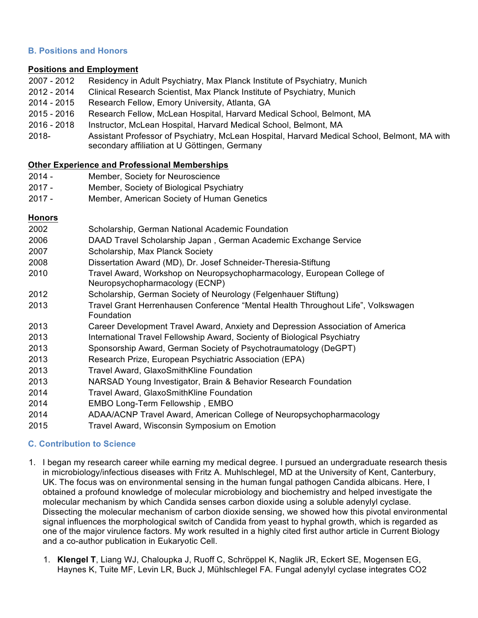## **B. Positions and Honors**

#### **Positions and Employment**

- 2007 2012 Residency in Adult Psychiatry, Max Planck Institute of Psychiatry, Munich
- 2012 2014 Clinical Research Scientist, Max Planck Institute of Psychiatry, Munich
- 2014 2015 Research Fellow, Emory University, Atlanta, GA
- 2015 2016 Research Fellow, McLean Hospital, Harvard Medical School, Belmont, MA
- 2016 2018 Instructor, McLean Hospital, Harvard Medical School, Belmont, MA
- 2018- Assistant Professor of Psychiatry, McLean Hospital, Harvard Medical School, Belmont, MA with secondary affiliation at U Göttingen, Germany

## **Other Experience and Professional Memberships**

- 2014 Member, Society for Neuroscience
- 2017 Member, Society of Biological Psychiatry
- 2017 Member, American Society of Human Genetics

## **Honors**

| 2002 | Scholarship, German National Academic Foundation |
|------|--------------------------------------------------|
|------|--------------------------------------------------|

- 2006 DAAD Travel Scholarship Japan , German Academic Exchange Service
- 2007 Scholarship, Max Planck Society
- 2008 Dissertation Award (MD), Dr. Josef Schneider-Theresia-Stiftung
- 2010 Travel Award, Workshop on Neuropsychopharmacology, European College of Neuropsychopharmacology (ECNP)
- 2012 Scholarship, German Society of Neurology (Felgenhauer Stiftung)
- 2013 Travel Grant Herrenhausen Conference "Mental Health Throughout Life", Volkswagen Foundation
- 2013 Career Development Travel Award, Anxiety and Depression Association of America
- 2013 International Travel Fellowship Award, Socienty of Biological Psychiatry
- 2013 Sponsorship Award, German Society of Psychotraumatology (DeGPT)
- 2013 Research Prize, European Psychiatric Association (EPA)
- 2013 Travel Award, GlaxoSmithKline Foundation
- 2013 NARSAD Young Investigator, Brain & Behavior Research Foundation
- 2014 Travel Award, GlaxoSmithKline Foundation
- 2014 EMBO Long-Term Fellowship , EMBO
- 2014 ADAA/ACNP Travel Award, American College of Neuropsychopharmacology
- 2015 Travel Award, Wisconsin Symposium on Emotion

# **C. Contribution to Science**

- 1. I began my research career while earning my medical degree. I pursued an undergraduate research thesis in microbiology/infectious diseases with Fritz A. Muhlschlegel, MD at the University of Kent, Canterbury, UK. The focus was on environmental sensing in the human fungal pathogen Candida albicans. Here, I obtained a profound knowledge of molecular microbiology and biochemistry and helped investigate the molecular mechanism by which Candida senses carbon dioxide using a soluble adenylyl cyclase. Dissecting the molecular mechanism of carbon dioxide sensing, we showed how this pivotal environmental signal influences the morphological switch of Candida from yeast to hyphal growth, which is regarded as one of the major virulence factors. My work resulted in a highly cited first author article in Current Biology and a co-author publication in Eukaryotic Cell.
	- 1. **Klengel T**, Liang WJ, Chaloupka J, Ruoff C, Schröppel K, Naglik JR, Eckert SE, Mogensen EG, Haynes K, Tuite MF, Levin LR, Buck J, Mühlschlegel FA. Fungal adenylyl cyclase integrates CO2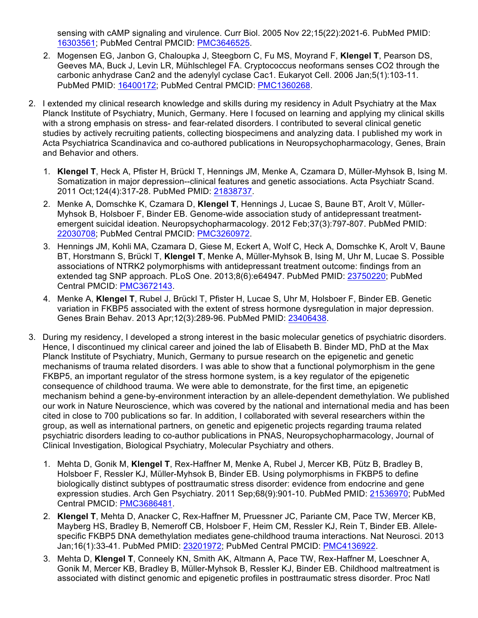sensing with cAMP signaling and virulence. Curr Biol. 2005 Nov 22;15(22):2021-6. PubMed PMID: 16303561; PubMed Central PMCID: PMC3646525.

- 2. Mogensen EG, Janbon G, Chaloupka J, Steegborn C, Fu MS, Moyrand F, **Klengel T**, Pearson DS, Geeves MA, Buck J, Levin LR, Mühlschlegel FA. Cryptococcus neoformans senses CO2 through the carbonic anhydrase Can2 and the adenylyl cyclase Cac1. Eukaryot Cell. 2006 Jan;5(1):103-11. PubMed PMID: 16400172; PubMed Central PMCID: PMC1360268.
- 2. I extended my clinical research knowledge and skills during my residency in Adult Psychiatry at the Max Planck Institute of Psychiatry, Munich, Germany. Here I focused on learning and applying my clinical skills with a strong emphasis on stress- and fear-related disorders. I contributed to several clinical genetic studies by actively recruiting patients, collecting biospecimens and analyzing data. I published my work in Acta Psychiatrica Scandinavica and co-authored publications in Neuropsychopharmacology, Genes, Brain and Behavior and others.
	- 1. **Klengel T**, Heck A, Pfister H, Brückl T, Hennings JM, Menke A, Czamara D, Müller-Myhsok B, Ising M. Somatization in major depression--clinical features and genetic associations. Acta Psychiatr Scand. 2011 Oct;124(4):317-28. PubMed PMID: 21838737.
	- 2. Menke A, Domschke K, Czamara D, **Klengel T**, Hennings J, Lucae S, Baune BT, Arolt V, Müller-Myhsok B, Holsboer F, Binder EB. Genome-wide association study of antidepressant treatmentemergent suicidal ideation. Neuropsychopharmacology. 2012 Feb;37(3):797-807. PubMed PMID: 22030708; PubMed Central PMCID: PMC3260972.
	- 3. Hennings JM, Kohli MA, Czamara D, Giese M, Eckert A, Wolf C, Heck A, Domschke K, Arolt V, Baune BT, Horstmann S, Brückl T, **Klengel T**, Menke A, Müller-Myhsok B, Ising M, Uhr M, Lucae S. Possible associations of NTRK2 polymorphisms with antidepressant treatment outcome: findings from an extended tag SNP approach. PLoS One. 2013;8(6):e64947. PubMed PMID: 23750220; PubMed Central PMCID: PMC3672143.
	- 4. Menke A, **Klengel T**, Rubel J, Brückl T, Pfister H, Lucae S, Uhr M, Holsboer F, Binder EB. Genetic variation in FKBP5 associated with the extent of stress hormone dysregulation in major depression. Genes Brain Behav. 2013 Apr;12(3):289-96. PubMed PMID: 23406438.
- 3. During my residency, I developed a strong interest in the basic molecular genetics of psychiatric disorders. Hence, I discontinued my clinical career and joined the lab of Elisabeth B. Binder MD, PhD at the Max Planck Institute of Psychiatry, Munich, Germany to pursue research on the epigenetic and genetic mechanisms of trauma related disorders. I was able to show that a functional polymorphism in the gene FKBP5, an important regulator of the stress hormone system, is a key regulator of the epigenetic consequence of childhood trauma. We were able to demonstrate, for the first time, an epigenetic mechanism behind a gene-by-environment interaction by an allele-dependent demethylation. We published our work in Nature Neuroscience, which was covered by the national and international media and has been cited in close to 700 publications so far. In addition, I collaborated with several researchers within the group, as well as international partners, on genetic and epigenetic projects regarding trauma related psychiatric disorders leading to co-author publications in PNAS, Neuropsychopharmacology, Journal of Clinical Investigation, Biological Psychiatry, Molecular Psychiatry and others.
	- 1. Mehta D, Gonik M, **Klengel T**, Rex-Haffner M, Menke A, Rubel J, Mercer KB, Pütz B, Bradley B, Holsboer F, Ressler KJ, Müller-Myhsok B, Binder EB. Using polymorphisms in FKBP5 to define biologically distinct subtypes of posttraumatic stress disorder: evidence from endocrine and gene expression studies. Arch Gen Psychiatry. 2011 Sep;68(9):901-10. PubMed PMID: 21536970; PubMed Central PMCID: PMC3686481.
	- 2. **Klengel T**, Mehta D, Anacker C, Rex-Haffner M, Pruessner JC, Pariante CM, Pace TW, Mercer KB, Mayberg HS, Bradley B, Nemeroff CB, Holsboer F, Heim CM, Ressler KJ, Rein T, Binder EB. Allelespecific FKBP5 DNA demethylation mediates gene-childhood trauma interactions. Nat Neurosci. 2013 Jan;16(1):33-41. PubMed PMID: 23201972; PubMed Central PMCID: PMC4136922.
	- 3. Mehta D, **Klengel T**, Conneely KN, Smith AK, Altmann A, Pace TW, Rex-Haffner M, Loeschner A, Gonik M, Mercer KB, Bradley B, Müller-Myhsok B, Ressler KJ, Binder EB. Childhood maltreatment is associated with distinct genomic and epigenetic profiles in posttraumatic stress disorder. Proc Natl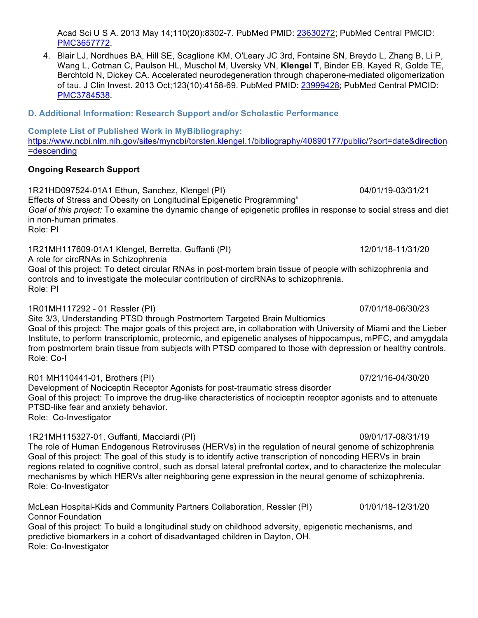Acad Sci U S A. 2013 May 14;110(20):8302-7. PubMed PMID: 23630272; PubMed Central PMCID: PMC3657772.

- 4. Blair LJ, Nordhues BA, Hill SE, Scaglione KM, O'Leary JC 3rd, Fontaine SN, Breydo L, Zhang B, Li P, Wang L, Cotman C, Paulson HL, Muschol M, Uversky VN, **Klengel T**, Binder EB, Kayed R, Golde TE, Berchtold N, Dickey CA. Accelerated neurodegeneration through chaperone-mediated oligomerization of tau. J Clin Invest. 2013 Oct;123(10):4158-69. PubMed PMID: 23999428; PubMed Central PMCID: PMC3784538.
- **D. Additional Information: Research Support and/or Scholastic Performance**

**Complete List of Published Work in MyBibliography:** 

https://www.ncbi.nlm.nih.gov/sites/myncbi/torsten.klengel.1/bibliography/40890177/public/?sort=date&direction =descending

# **Ongoing Research Support**

1R21HD097524-01A1 Ethun, Sanchez, Klengel (PI) 04/01/19-03/31/21

Effects of Stress and Obesity on Longitudinal Epigenetic Programming" *Goal of this project:* To examine the dynamic change of epigenetic profiles in response to social stress and diet in non-human primates.

Role: PI

1R21MH117609-01A1 Klengel, Berretta, Guffanti (PI) 12/01/18-11/31/20

A role for circRNAs in Schizophrenia

Goal of this project: To detect circular RNAs in post-mortem brain tissue of people with schizophrenia and controls and to investigate the molecular contribution of circRNAs to schizophrenia. Role: PI

1R01MH117292 - 01 Ressler (PI) 07/01/18-06/30/23 Site 3/3, Understanding PTSD through Postmortem Targeted Brain Multiomics Goal of this project: The major goals of this project are, in collaboration with University of Miami and the Lieber Institute, to perform transcriptomic, proteomic, and epigenetic analyses of hippocampus, mPFC, and amygdala from postmortem brain tissue from subjects with PTSD compared to those with depression or healthy controls. Role: Co-I

R01 MH110441-01, Brothers (PI) 07/21/16-04/30/20 Development of Nociceptin Receptor Agonists for post-traumatic stress disorder Goal of this project: To improve the drug-like characteristics of nociceptin receptor agonists and to attenuate PTSD-like fear and anxiety behavior. Role: Co-Investigator

1R21MH115327-01, Guffanti, Macciardi (PI) 09/01/17-08/31/19 The role of Human Endogenous Retroviruses (HERVs) in the regulation of neural genome of schizophrenia Goal of this project: The goal of this study is to identify active transcription of noncoding HERVs in brain regions related to cognitive control, such as dorsal lateral prefrontal cortex, and to characterize the molecular mechanisms by which HERVs alter neighboring gene expression in the neural genome of schizophrenia. Role: Co-Investigator

McLean Hospital-Kids and Community Partners Collaboration, Ressler (PI) 01/01/18-12/31/20 Connor Foundation Goal of this project: To build a longitudinal study on childhood adversity, epigenetic mechanisms, and predictive biomarkers in a cohort of disadvantaged children in Dayton, OH. Role: Co-Investigator